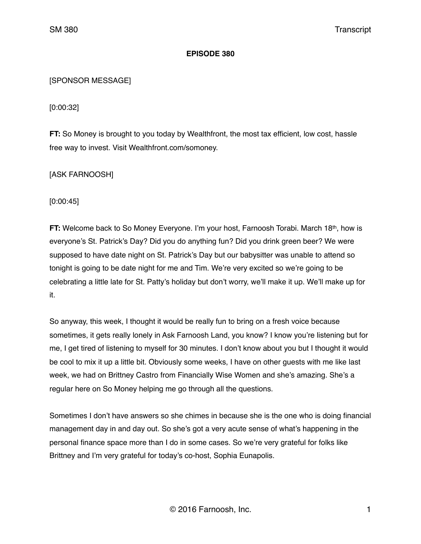## **EPISODE 380**

# [SPONSOR MESSAGE]

[0:00:32]

**FT:** So Money is brought to you today by Wealthfront, the most tax efficient, low cost, hassle free way to invest. Visit Wealthfront.com/somoney.

[ASK FARNOOSH]

[0:00:45]

**FT:** Welcome back to So Money Everyone. I'm your host, Farnoosh Torabi. March 18<sup>th</sup>, how is everyone's St. Patrick's Day? Did you do anything fun? Did you drink green beer? We were supposed to have date night on St. Patrick's Day but our babysitter was unable to attend so tonight is going to be date night for me and Tim. We're very excited so we're going to be celebrating a little late for St. Patty's holiday but don't worry, we'll make it up. We'll make up for it.

So anyway, this week, I thought it would be really fun to bring on a fresh voice because sometimes, it gets really lonely in Ask Farnoosh Land, you know? I know you're listening but for me, I get tired of listening to myself for 30 minutes. I don't know about you but I thought it would be cool to mix it up a little bit. Obviously some weeks, I have on other guests with me like last week, we had on Brittney Castro from Financially Wise Women and she's amazing. She's a regular here on So Money helping me go through all the questions.

Sometimes I don't have answers so she chimes in because she is the one who is doing financial management day in and day out. So she's got a very acute sense of what's happening in the personal finance space more than I do in some cases. So we're very grateful for folks like Brittney and I'm very grateful for today's co-host, Sophia Eunapolis.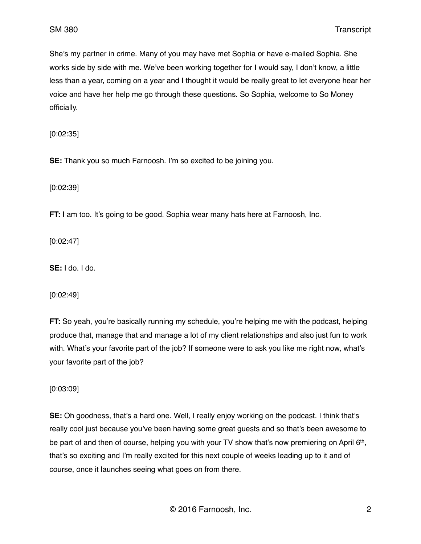She's my partner in crime. Many of you may have met Sophia or have e-mailed Sophia. She works side by side with me. We've been working together for I would say, I don't know, a little less than a year, coming on a year and I thought it would be really great to let everyone hear her voice and have her help me go through these questions. So Sophia, welcome to So Money officially.

[0:02:35]

**SE:** Thank you so much Farnoosh. I'm so excited to be joining you.

[0:02:39]

**FT:** I am too. It's going to be good. Sophia wear many hats here at Farnoosh, Inc.

[0:02:47]

**SE:** I do. I do.

[0:02:49]

**FT:** So yeah, you're basically running my schedule, you're helping me with the podcast, helping produce that, manage that and manage a lot of my client relationships and also just fun to work with. What's your favorite part of the job? If someone were to ask you like me right now, what's your favorite part of the job?

[0:03:09]

**SE:** Oh goodness, that's a hard one. Well, I really enjoy working on the podcast. I think that's really cool just because you've been having some great guests and so that's been awesome to be part of and then of course, helping you with your TV show that's now premiering on April 6th, that's so exciting and I'm really excited for this next couple of weeks leading up to it and of course, once it launches seeing what goes on from there.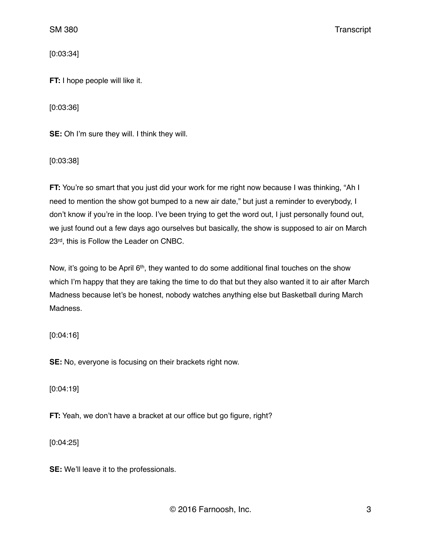[0:03:34]

**FT:** I hope people will like it.

[0:03:36]

**SE:** Oh I'm sure they will. I think they will.

[0:03:38]

**FT:** You're so smart that you just did your work for me right now because I was thinking, "Ah I need to mention the show got bumped to a new air date," but just a reminder to everybody, I don't know if you're in the loop. I've been trying to get the word out, I just personally found out, we just found out a few days ago ourselves but basically, the show is supposed to air on March 23rd, this is Follow the Leader on CNBC.

Now, it's going to be April 6<sup>th</sup>, they wanted to do some additional final touches on the show which I'm happy that they are taking the time to do that but they also wanted it to air after March Madness because let's be honest, nobody watches anything else but Basketball during March Madness.

[0:04:16]

**SE:** No, everyone is focusing on their brackets right now.

[0:04:19]

**FT:** Yeah, we don't have a bracket at our office but go figure, right?

[0:04:25]

**SE:** We'll leave it to the professionals.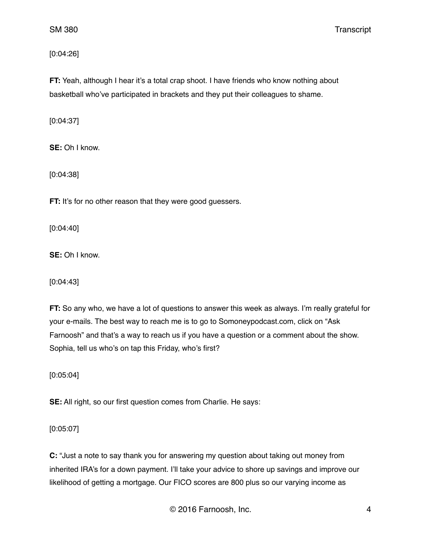[0:04:26]

**FT:** Yeah, although I hear it's a total crap shoot. I have friends who know nothing about basketball who've participated in brackets and they put their colleagues to shame.

[0:04:37]

**SE:** Oh I know.

[0:04:38]

**FT:** It's for no other reason that they were good guessers.

[0:04:40]

**SE:** Oh I know.

[0:04:43]

**FT:** So any who, we have a lot of questions to answer this week as always. I'm really grateful for your e-mails. The best way to reach me is to go to Somoneypodcast.com, click on "Ask Farnoosh" and that's a way to reach us if you have a question or a comment about the show. Sophia, tell us who's on tap this Friday, who's first?

[0:05:04]

**SE:** All right, so our first question comes from Charlie. He says:

[0:05:07]

**C:** "Just a note to say thank you for answering my question about taking out money from inherited IRA's for a down payment. I'll take your advice to shore up savings and improve our likelihood of getting a mortgage. Our FICO scores are 800 plus so our varying income as

© 2016 Farnoosh, Inc. 4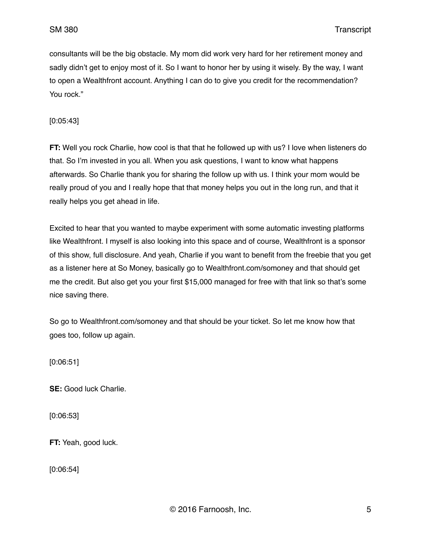consultants will be the big obstacle. My mom did work very hard for her retirement money and sadly didn't get to enjoy most of it. So I want to honor her by using it wisely. By the way, I want to open a Wealthfront account. Anything I can do to give you credit for the recommendation? You rock."

[0:05:43]

**FT:** Well you rock Charlie, how cool is that that he followed up with us? I love when listeners do that. So I'm invested in you all. When you ask questions, I want to know what happens afterwards. So Charlie thank you for sharing the follow up with us. I think your mom would be really proud of you and I really hope that that money helps you out in the long run, and that it really helps you get ahead in life.

Excited to hear that you wanted to maybe experiment with some automatic investing platforms like Wealthfront. I myself is also looking into this space and of course, Wealthfront is a sponsor of this show, full disclosure. And yeah, Charlie if you want to benefit from the freebie that you get as a listener here at So Money, basically go to Wealthfront.com/somoney and that should get me the credit. But also get you your first \$15,000 managed for free with that link so that's some nice saving there.

So go to Wealthfront.com/somoney and that should be your ticket. So let me know how that goes too, follow up again.

[0:06:51]

**SE:** Good luck Charlie.

[0:06:53]

**FT:** Yeah, good luck.

[0:06:54]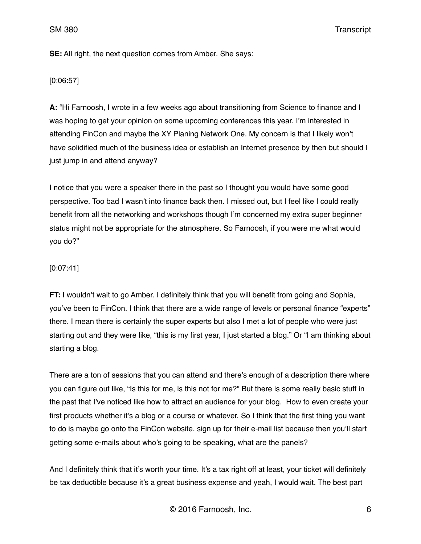**SE:** All right, the next question comes from Amber. She says:

#### [0:06:57]

**A:** "Hi Farnoosh, I wrote in a few weeks ago about transitioning from Science to finance and I was hoping to get your opinion on some upcoming conferences this year. I'm interested in attending FinCon and maybe the XY Planing Network One. My concern is that I likely won't have solidified much of the business idea or establish an Internet presence by then but should I just jump in and attend anyway?

I notice that you were a speaker there in the past so I thought you would have some good perspective. Too bad I wasn't into finance back then. I missed out, but I feel like I could really benefit from all the networking and workshops though I'm concerned my extra super beginner status might not be appropriate for the atmosphere. So Farnoosh, if you were me what would you do?"

### [0:07:41]

**FT:** I wouldn't wait to go Amber. I definitely think that you will benefit from going and Sophia, you've been to FinCon. I think that there are a wide range of levels or personal finance "experts" there. I mean there is certainly the super experts but also I met a lot of people who were just starting out and they were like, "this is my first year, I just started a blog." Or "I am thinking about starting a blog.

There are a ton of sessions that you can attend and there's enough of a description there where you can figure out like, "Is this for me, is this not for me?" But there is some really basic stuff in the past that I've noticed like how to attract an audience for your blog. How to even create your first products whether it's a blog or a course or whatever. So I think that the first thing you want to do is maybe go onto the FinCon website, sign up for their e-mail list because then you'll start getting some e-mails about who's going to be speaking, what are the panels?

And I definitely think that it's worth your time. It's a tax right off at least, your ticket will definitely be tax deductible because it's a great business expense and yeah, I would wait. The best part

© 2016 Farnoosh, Inc. 6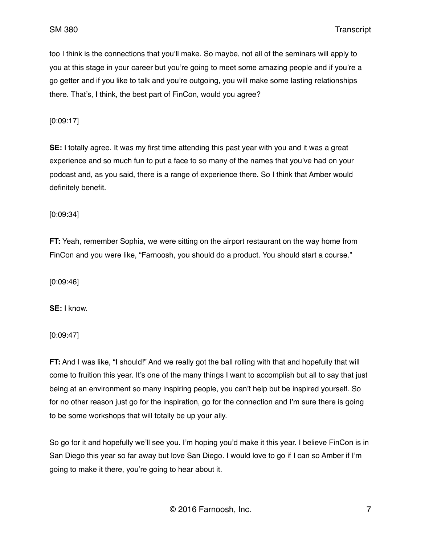too I think is the connections that you'll make. So maybe, not all of the seminars will apply to you at this stage in your career but you're going to meet some amazing people and if you're a go getter and if you like to talk and you're outgoing, you will make some lasting relationships there. That's, I think, the best part of FinCon, would you agree?

[0:09:17]

**SE:** I totally agree. It was my first time attending this past year with you and it was a great experience and so much fun to put a face to so many of the names that you've had on your podcast and, as you said, there is a range of experience there. So I think that Amber would definitely benefit.

[0:09:34]

**FT:** Yeah, remember Sophia, we were sitting on the airport restaurant on the way home from FinCon and you were like, "Farnoosh, you should do a product. You should start a course."

[0:09:46]

**SE:** I know.

[0:09:47]

**FT:** And I was like, "I should!" And we really got the ball rolling with that and hopefully that will come to fruition this year. It's one of the many things I want to accomplish but all to say that just being at an environment so many inspiring people, you can't help but be inspired yourself. So for no other reason just go for the inspiration, go for the connection and I'm sure there is going to be some workshops that will totally be up your ally.

So go for it and hopefully we'll see you. I'm hoping you'd make it this year. I believe FinCon is in San Diego this year so far away but love San Diego. I would love to go if I can so Amber if I'm going to make it there, you're going to hear about it.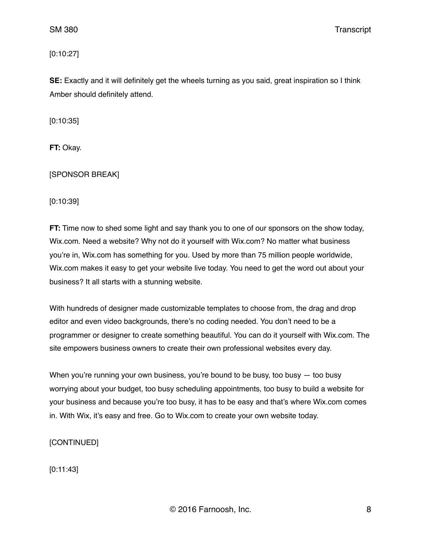[0:10:27]

**SE:** Exactly and it will definitely get the wheels turning as you said, great inspiration so I think Amber should definitely attend.

[0:10:35]

**FT:** Okay.

[SPONSOR BREAK]

[0:10:39]

**FT:** Time now to shed some light and say thank you to one of our sponsors on the show today, Wix.com. Need a website? Why not do it yourself with Wix.com? No matter what business you're in, Wix.com has something for you. Used by more than 75 million people worldwide, Wix.com makes it easy to get your website live today. You need to get the word out about your business? It all starts with a stunning website.

With hundreds of designer made customizable templates to choose from, the drag and drop editor and even video backgrounds, there's no coding needed. You don't need to be a programmer or designer to create something beautiful. You can do it yourself with Wix.com. The site empowers business owners to create their own professional websites every day.

When you're running your own business, you're bound to be busy, too busy  $-$  too busy worrying about your budget, too busy scheduling appointments, too busy to build a website for your business and because you're too busy, it has to be easy and that's where Wix.com comes in. With Wix, it's easy and free. Go to Wix.com to create your own website today.

[CONTINUED]

[0:11:43]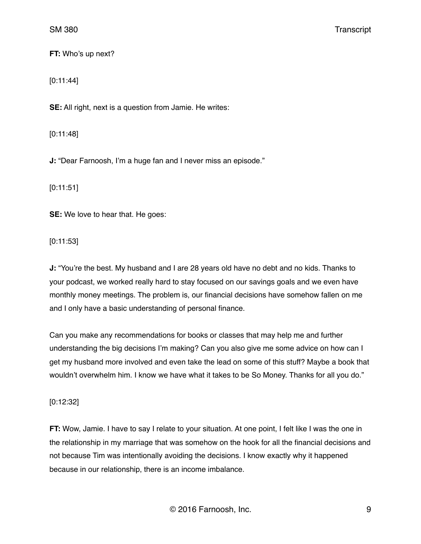**FT:** Who's up next?

[0:11:44]

**SE:** All right, next is a question from Jamie. He writes:

[0:11:48]

**J:** "Dear Farnoosh, I'm a huge fan and I never miss an episode."

[0:11:51]

**SE:** We love to hear that. He goes:

[0:11:53]

**J:** "You're the best. My husband and I are 28 years old have no debt and no kids. Thanks to your podcast, we worked really hard to stay focused on our savings goals and we even have monthly money meetings. The problem is, our financial decisions have somehow fallen on me and I only have a basic understanding of personal finance.

Can you make any recommendations for books or classes that may help me and further understanding the big decisions I'm making? Can you also give me some advice on how can I get my husband more involved and even take the lead on some of this stuff? Maybe a book that wouldn't overwhelm him. I know we have what it takes to be So Money. Thanks for all you do."

### [0:12:32]

**FT:** Wow, Jamie. I have to say I relate to your situation. At one point, I felt like I was the one in the relationship in my marriage that was somehow on the hook for all the financial decisions and not because Tim was intentionally avoiding the decisions. I know exactly why it happened because in our relationship, there is an income imbalance.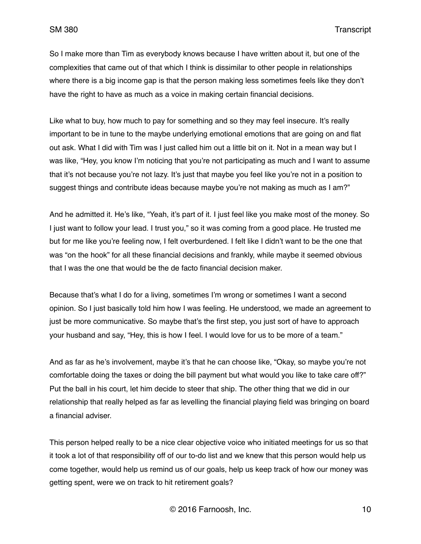So I make more than Tim as everybody knows because I have written about it, but one of the complexities that came out of that which I think is dissimilar to other people in relationships where there is a big income gap is that the person making less sometimes feels like they don't have the right to have as much as a voice in making certain financial decisions.

Like what to buy, how much to pay for something and so they may feel insecure. It's really important to be in tune to the maybe underlying emotional emotions that are going on and flat out ask. What I did with Tim was I just called him out a little bit on it. Not in a mean way but I was like, "Hey, you know I'm noticing that you're not participating as much and I want to assume that it's not because you're not lazy. It's just that maybe you feel like you're not in a position to suggest things and contribute ideas because maybe you're not making as much as I am?"

And he admitted it. He's like, "Yeah, it's part of it. I just feel like you make most of the money. So I just want to follow your lead. I trust you," so it was coming from a good place. He trusted me but for me like you're feeling now, I felt overburdened. I felt like I didn't want to be the one that was "on the hook" for all these financial decisions and frankly, while maybe it seemed obvious that I was the one that would be the de facto financial decision maker.

Because that's what I do for a living, sometimes I'm wrong or sometimes I want a second opinion. So I just basically told him how I was feeling. He understood, we made an agreement to just be more communicative. So maybe that's the first step, you just sort of have to approach your husband and say, "Hey, this is how I feel. I would love for us to be more of a team."

And as far as he's involvement, maybe it's that he can choose like, "Okay, so maybe you're not comfortable doing the taxes or doing the bill payment but what would you like to take care off?" Put the ball in his court, let him decide to steer that ship. The other thing that we did in our relationship that really helped as far as levelling the financial playing field was bringing on board a financial adviser.

This person helped really to be a nice clear objective voice who initiated meetings for us so that it took a lot of that responsibility off of our to-do list and we knew that this person would help us come together, would help us remind us of our goals, help us keep track of how our money was getting spent, were we on track to hit retirement goals?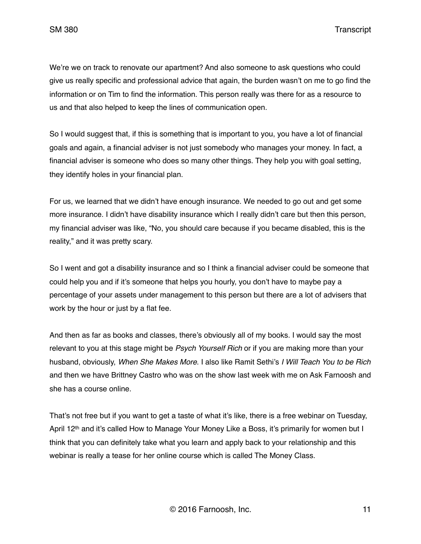We're we on track to renovate our apartment? And also someone to ask questions who could give us really specific and professional advice that again, the burden wasn't on me to go find the information or on Tim to find the information. This person really was there for as a resource to us and that also helped to keep the lines of communication open.

So I would suggest that, if this is something that is important to you, you have a lot of financial goals and again, a financial adviser is not just somebody who manages your money. In fact, a financial adviser is someone who does so many other things. They help you with goal setting, they identify holes in your financial plan.

For us, we learned that we didn't have enough insurance. We needed to go out and get some more insurance. I didn't have disability insurance which I really didn't care but then this person, my financial adviser was like, "No, you should care because if you became disabled, this is the reality," and it was pretty scary.

So I went and got a disability insurance and so I think a financial adviser could be someone that could help you and if it's someone that helps you hourly, you don't have to maybe pay a percentage of your assets under management to this person but there are a lot of advisers that work by the hour or just by a flat fee.

And then as far as books and classes, there's obviously all of my books. I would say the most relevant to you at this stage might be *Psych Yourself Rich* or if you are making more than your husband, obviously, *When She Makes More*. I also like Ramit Sethi's *I Will Teach You to be Rich* and then we have Brittney Castro who was on the show last week with me on Ask Farnoosh and she has a course online.

That's not free but if you want to get a taste of what it's like, there is a free webinar on Tuesday, April 12<sup>th</sup> and it's called How to Manage Your Money Like a Boss, it's primarily for women but I think that you can definitely take what you learn and apply back to your relationship and this webinar is really a tease for her online course which is called The Money Class.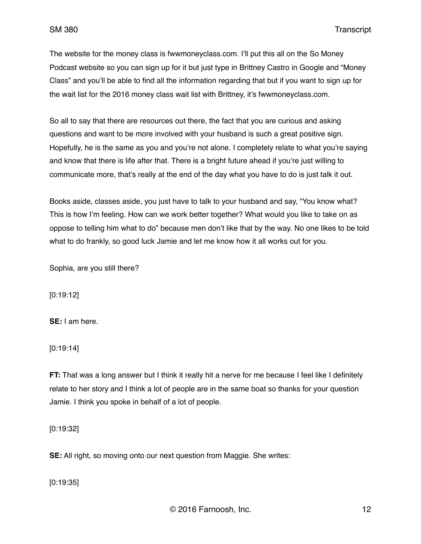The website for the money class is fwwmoneyclass.com. I'll put this all on the So Money Podcast website so you can sign up for it but just type in Brittney Castro in Google and "Money Class" and you'll be able to find all the information regarding that but if you want to sign up for the wait list for the 2016 money class wait list with Brittney, it's fwwmoneyclass.com.

So all to say that there are resources out there, the fact that you are curious and asking questions and want to be more involved with your husband is such a great positive sign. Hopefully, he is the same as you and you're not alone. I completely relate to what you're saying and know that there is life after that. There is a bright future ahead if you're just willing to communicate more, that's really at the end of the day what you have to do is just talk it out.

Books aside, classes aside, you just have to talk to your husband and say, "You know what? This is how I'm feeling. How can we work better together? What would you like to take on as oppose to telling him what to do" because men don't like that by the way. No one likes to be told what to do frankly, so good luck Jamie and let me know how it all works out for you.

Sophia, are you still there?

[0:19:12]

**SE:** I am here.

[0:19:14]

**FT:** That was a long answer but I think it really hit a nerve for me because I feel like I definitely relate to her story and I think a lot of people are in the same boat so thanks for your question Jamie. I think you spoke in behalf of a lot of people.

[0:19:32]

**SE:** All right, so moving onto our next question from Maggie. She writes:

[0:19:35]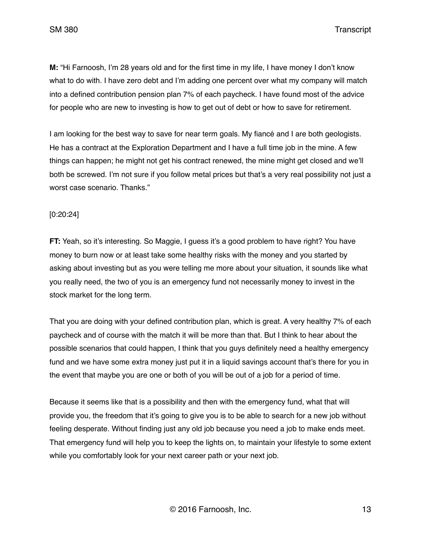**M:** "Hi Farnoosh, I'm 28 years old and for the first time in my life, I have money I don't know what to do with. I have zero debt and I'm adding one percent over what my company will match into a defined contribution pension plan 7% of each paycheck. I have found most of the advice for people who are new to investing is how to get out of debt or how to save for retirement.

I am looking for the best way to save for near term goals. My fiancé and I are both geologists. He has a contract at the Exploration Department and I have a full time job in the mine. A few things can happen; he might not get his contract renewed, the mine might get closed and we'll both be screwed. I'm not sure if you follow metal prices but that's a very real possibility not just a worst case scenario. Thanks."

#### [0:20:24]

**FT:** Yeah, so it's interesting. So Maggie, I guess it's a good problem to have right? You have money to burn now or at least take some healthy risks with the money and you started by asking about investing but as you were telling me more about your situation, it sounds like what you really need, the two of you is an emergency fund not necessarily money to invest in the stock market for the long term.

That you are doing with your defined contribution plan, which is great. A very healthy 7% of each paycheck and of course with the match it will be more than that. But I think to hear about the possible scenarios that could happen, I think that you guys definitely need a healthy emergency fund and we have some extra money just put it in a liquid savings account that's there for you in the event that maybe you are one or both of you will be out of a job for a period of time.

Because it seems like that is a possibility and then with the emergency fund, what that will provide you, the freedom that it's going to give you is to be able to search for a new job without feeling desperate. Without finding just any old job because you need a job to make ends meet. That emergency fund will help you to keep the lights on, to maintain your lifestyle to some extent while you comfortably look for your next career path or your next job.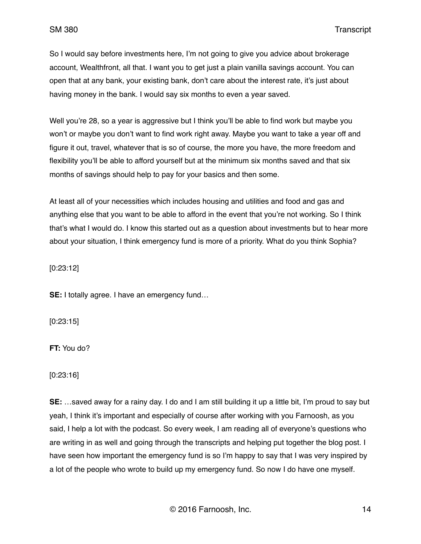So I would say before investments here, I'm not going to give you advice about brokerage account, Wealthfront, all that. I want you to get just a plain vanilla savings account. You can open that at any bank, your existing bank, don't care about the interest rate, it's just about having money in the bank. I would say six months to even a year saved.

Well you're 28, so a year is aggressive but I think you'll be able to find work but maybe you won't or maybe you don't want to find work right away. Maybe you want to take a year off and figure it out, travel, whatever that is so of course, the more you have, the more freedom and flexibility you'll be able to afford yourself but at the minimum six months saved and that six months of savings should help to pay for your basics and then some.

At least all of your necessities which includes housing and utilities and food and gas and anything else that you want to be able to afford in the event that you're not working. So I think that's what I would do. I know this started out as a question about investments but to hear more about your situation, I think emergency fund is more of a priority. What do you think Sophia?

[0:23:12]

**SE:** I totally agree. I have an emergency fund…

[0:23:15]

**FT:** You do?

[0:23:16]

**SE:** …saved away for a rainy day. I do and I am still building it up a little bit, I'm proud to say but yeah, I think it's important and especially of course after working with you Farnoosh, as you said, I help a lot with the podcast. So every week, I am reading all of everyone's questions who are writing in as well and going through the transcripts and helping put together the blog post. I have seen how important the emergency fund is so I'm happy to say that I was very inspired by a lot of the people who wrote to build up my emergency fund. So now I do have one myself.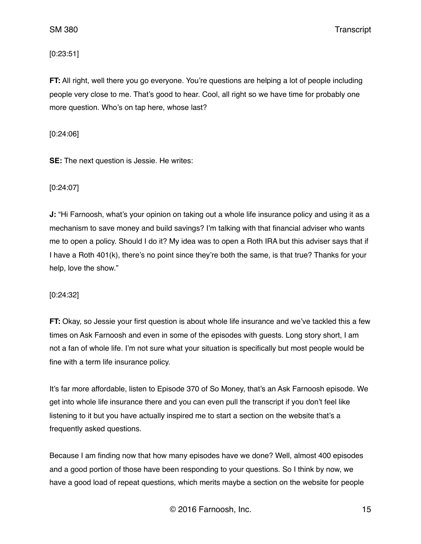### [0:23:51]

**FT:** All right, well there you go everyone. You're questions are helping a lot of people including people very close to me. That's good to hear. Cool, all right so we have time for probably one more question. Who's on tap here, whose last?

#### [0:24:06]

**SE:** The next question is Jessie. He writes:

### [0:24:07]

**J:** "Hi Farnoosh, what's your opinion on taking out a whole life insurance policy and using it as a mechanism to save money and build savings? I'm talking with that financial adviser who wants me to open a policy. Should I do it? My idea was to open a Roth IRA but this adviser says that if I have a Roth 401(k), there's no point since they're both the same, is that true? Thanks for your help, love the show."

### [0:24:32]

**FT:** Okay, so Jessie your first question is about whole life insurance and we've tackled this a few times on Ask Farnoosh and even in some of the episodes with guests. Long story short, I am not a fan of whole life. I'm not sure what your situation is specifically but most people would be fine with a term life insurance policy.

It's far more affordable, listen to Episode 370 of So Money, that's an Ask Farnoosh episode. We get into whole life insurance there and you can even pull the transcript if you don't feel like listening to it but you have actually inspired me to start a section on the website that's a frequently asked questions.

Because I am finding now that how many episodes have we done? Well, almost 400 episodes and a good portion of those have been responding to your questions. So I think by now, we have a good load of repeat questions, which merits maybe a section on the website for people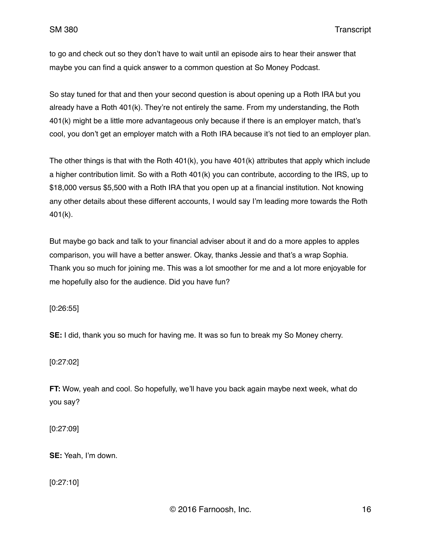to go and check out so they don't have to wait until an episode airs to hear their answer that maybe you can find a quick answer to a common question at So Money Podcast.

So stay tuned for that and then your second question is about opening up a Roth IRA but you already have a Roth 401(k). They're not entirely the same. From my understanding, the Roth 401(k) might be a little more advantageous only because if there is an employer match, that's cool, you don't get an employer match with a Roth IRA because it's not tied to an employer plan.

The other things is that with the Roth 401(k), you have 401(k) attributes that apply which include a higher contribution limit. So with a Roth 401(k) you can contribute, according to the IRS, up to \$18,000 versus \$5,500 with a Roth IRA that you open up at a financial institution. Not knowing any other details about these different accounts, I would say I'm leading more towards the Roth 401(k).

But maybe go back and talk to your financial adviser about it and do a more apples to apples comparison, you will have a better answer. Okay, thanks Jessie and that's a wrap Sophia. Thank you so much for joining me. This was a lot smoother for me and a lot more enjoyable for me hopefully also for the audience. Did you have fun?

[0:26:55]

**SE:** I did, thank you so much for having me. It was so fun to break my So Money cherry.

[0:27:02]

**FT:** Wow, yeah and cool. So hopefully, we'll have you back again maybe next week, what do you say?

[0:27:09]

**SE:** Yeah, I'm down.

[0:27:10]